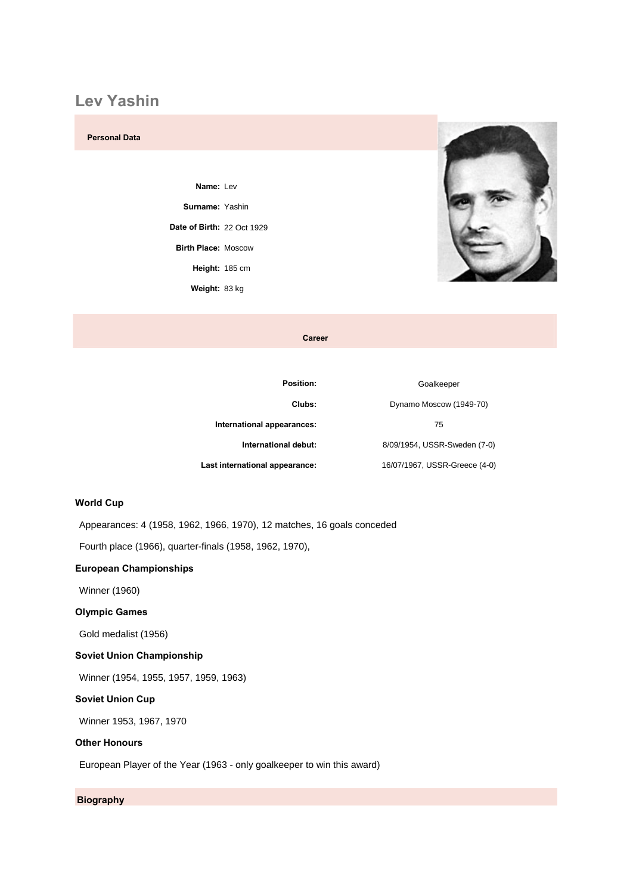## **Lev Yashin**

### **Personal Data**

Name: Lev **Surname: Yashin of Birth:** <sup>22</sup> Oct <sup>1929</sup> **Birth Place:** Moscow **Birth Place: Moscow Height: 185 cm** Weight: 83 kg



Career

| <b>Position:</b>               | Goalkeeper                    |
|--------------------------------|-------------------------------|
| Clubs:                         | Dynamo Moscow (1949-70)       |
| International appearances:     | 75                            |
| International debut:           | 8/09/1954, USSR-Sweden (7-0)  |
| Last international appearance: | 16/07/1967, USSR-Greece (4-0) |

# **Cup**

Appearances: 4 (1958, 1962, 1966, 1970), 12 matches, 16 goals conceded

Fourth place (1966), quarter-finals (1958, 1962, 1970), **European Championships**

Winner (1960) **Olympic**

### **Games**

Gold medalist (1956)

### **Union Championship**

Winner (1954, 1955, 1957, 1959, 1963) **Soviet Union Cup**

Winner 1953, 1967, 1970 **Other Honours**

European Player of the Year (1963 - only goalkeeper to win this award)

### **Biography**

**Biography**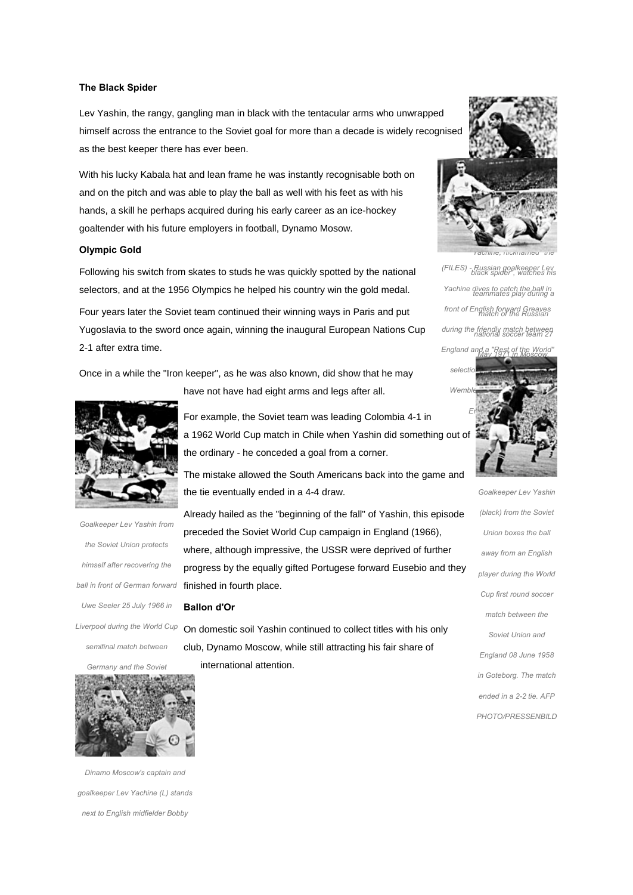### **The Black Spider**

Lev Yashin, the rangy, gangling man in black with the tentacular arms who unwrapped himself across the entrance to the Soviet goal for more than a decade is widely recognised as the best keeper there has ever been.

With his lucky Kabala hat and lean frame he was instantly recognisable both on and on the pitch and was able to play the ball as well with his feet as with his hands, a skill he perhaps acquired during his early career as an ice-hockey goaltender with his future employers in football, Dynamo Mosow. **Olympic Gold**

Following his switch from skates to studs he was quickly spotted by the national selectors, and at the 1956 Olympics he helped his country win the gold medal. Four years later the Soviet team continued their winning ways in Paris and put Yugoslavia to the sword once again, winning the inaugural European Nations Cup 2-1 after extra time.

Once in a while the "Iron keeper", as he was also known, did show that he may



*the Soviet Union protects himselfthe Soviet Union protects*<br> **whe**<br> *bimself after recovering the himself after recovering the* progrephend **progrephend**<br>all in front of German forward **finish**e *Sell in front of German forward* finish<br>Uwe Seeler 25 July 1966 in *during the World Cup semifinal match between Germany*semifinal match between

*Union. Bermany and the Soviet*<br>*Union. Reachedor Contract of Contract final with <sup>a</sup> 2-1 victory. Dinamo*

*Moscow's captain* and *Dinamo Moscow's captain and<br>oalkeeper Lev Yachine (L) stands to English midfielder Bobby*

have not have had eight arms and legs after all.

the ordinary - he conceded a goal from a corner.

the tie eventually ended in a 4-4 draw.

For example, the Soviet team was leading Colombia 4-1 in



Already hailed as the "beginning of the fall" of Yashin, this episode *Lev Yashin from* preceded the Soviet World Cup campaign in England (1966), where, although impressive, the USSR were deprived of further progress by the equally gifted Portugese forward Eusebio and they finished in fourth place. **Ballon d'Or**

On domestic soil Yashin continued to collect titles with his only club, Dynamo Moscow, while still attracting his fair share of international attention.



*rachine, пicкnamed are<br>Russian goalkeeper Lev<br>black spider", watches his<br>dives to catch the ball in<br>teammates play during a* res play during a<br>*rward Greaves<br>of the Russian nationalffialth*"of the Russian<br>friendly match between<br>ational soccer team 27<br>play 1971 in Moscow.<br>May 1971 in Moscow. *- Russian goalkeeper Lev YachineRussian goalkeeper Lev<br>black spider", watches his<br>dives to catch the ball in front of English forward Greaves duringfront of English forward Greaves*<br>*match of the Russian*<br>*during the friendly match between and <sup>a</sup> "Rest of the World" selection<u>England and a "Rest of the</u>* 

*black*



 *from the Soviet Union boxes the ball away*Union boxes the ball<br>away from an English away from an English<br>player during the World  $C$ up *first round* soccer *p first round soccer*<br>natch between the *Union and* **Soviet Union and** *Soviet Union and<br>England 08 June 1958 Goteborg. The match endedin Goteborg. The match<br>ended in a 2-2 tie. AFP* PHOTO/PRESSENBILD